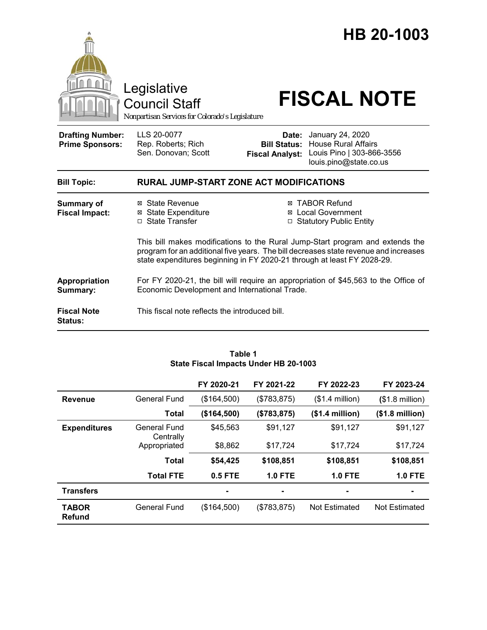

Council Staff

# Legislative<br>Council Staff **FISCAL NOTE**

*Nonpartisan Services for Colorado's Legislature*

| <b>Drafting Number:</b><br><b>Prime Sponsors:</b> | LLS 20-0077<br>Rep. Roberts; Rich<br>Sen. Donovan; Scott |  | <b>Date:</b> January 24, 2020<br><b>Bill Status: House Rural Affairs</b><br>Fiscal Analyst: Louis Pino   303-866-3556<br>louis.pino@state.co.us |  |  |  |
|---------------------------------------------------|----------------------------------------------------------|--|-------------------------------------------------------------------------------------------------------------------------------------------------|--|--|--|
| <b>Bill Topic:</b>                                | <b>RURAL JUMP-START ZONE ACT MODIFICATIONS</b>           |  |                                                                                                                                                 |  |  |  |
| Summary of<br><b>Fiscal Impact:</b>               | ⊠ State Revenue<br><b>⊠</b> State Expenditure            |  | <b>⊠ TABOR Refund</b><br><b>⊠</b> Local Government                                                                                              |  |  |  |
|                                                   | □ State Transfer                                         |  | □ Statutory Public Entity                                                                                                                       |  |  |  |

This bill makes modifications to the Rural Jump-Start program and extends the program for an additional five years. The bill decreases state revenue and increases state expenditures beginning in FY 2020-21 through at least FY 2028-29.

**Appropriation Summary:**  For FY 2020-21, the bill will require an appropriation of \$45,563 to the Office of Economic Development and International Trade.

**Fiscal Note Status:** This fiscal note reflects the introduced bill.

|                        |                           | FY 2020-21  | FY 2021-22     | FY 2022-23       | FY 2023-24               |
|------------------------|---------------------------|-------------|----------------|------------------|--------------------------|
| <b>Revenue</b>         | General Fund              | (\$164,500) | (\$783, 875)   | $($1.4$ million) | $($1.8 \text{ million})$ |
|                        | <b>Total</b>              | (\$164,500) | (\$783, 875)   | (\$1.4 million)  | $($1.8 \text{ million})$ |
| <b>Expenditures</b>    | General Fund<br>Centrally | \$45,563    | \$91,127       | \$91,127         | \$91,127                 |
|                        | Appropriated              | \$8,862     | \$17,724       | \$17,724         | \$17,724                 |
|                        | <b>Total</b>              | \$54,425    | \$108,851      | \$108,851        | \$108,851                |
|                        | <b>Total FTE</b>          | 0.5 FTE     | $1.0$ FTE      | <b>1.0 FTE</b>   | <b>1.0 FTE</b>           |
| <b>Transfers</b>       |                           | ۰           | $\blacksquare$ |                  | ۰                        |
| <b>TABOR</b><br>Refund | General Fund              | (\$164,500) | (\$783, 875)   | Not Estimated    | Not Estimated            |

#### **Table 1 State Fiscal Impacts Under HB 20-1003**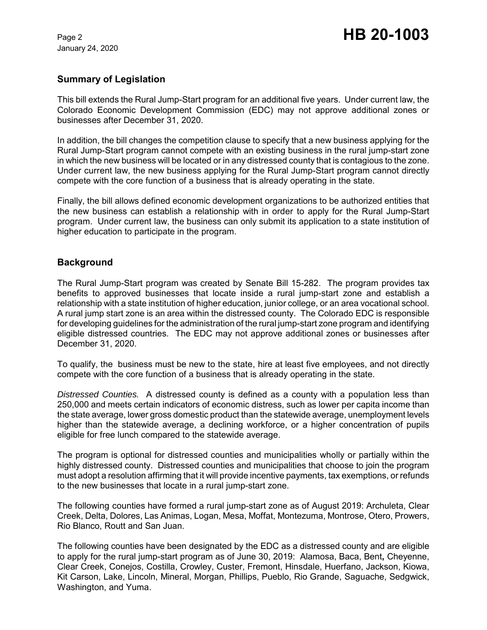#### **Summary of Legislation**

This bill extends the Rural Jump-Start program for an additional five years. Under current law, the Colorado Economic Development Commission (EDC) may not approve additional zones or businesses after December 31, 2020.

In addition, the bill changes the competition clause to specify that a new business applying for the Rural Jump-Start program cannot compete with an existing business in the rural jump-start zone in which the new business will be located or in any distressed county that is contagious to the zone. Under current law, the new business applying for the Rural Jump-Start program cannot directly compete with the core function of a business that is already operating in the state.

Finally, the bill allows defined economic development organizations to be authorized entities that the new business can establish a relationship with in order to apply for the Rural Jump-Start program. Under current law, the business can only submit its application to a state institution of higher education to participate in the program.

#### **Background**

The Rural Jump-Start program was created by Senate Bill 15-282. The program provides tax benefits to approved businesses that locate inside a rural jump-start zone and establish a relationship with a state institution of higher education, junior college, or an area vocational school. A rural jump start zone is an area within the distressed county. The Colorado EDC is responsible for developing guidelines for the administration of the rural jump-start zone program and identifying eligible distressed countries. The EDC may not approve additional zones or businesses after December 31, 2020.

To qualify, the business must be new to the state, hire at least five employees, and not directly compete with the core function of a business that is already operating in the state.

*Distressed Counties.* A distressed county is defined as a county with a population less than 250,000 and meets certain indicators of economic distress, such as lower per capita income than the state average, lower gross domestic product than the statewide average, unemployment levels higher than the statewide average, a declining workforce, or a higher concentration of pupils eligible for free lunch compared to the statewide average.

The program is optional for distressed counties and municipalities wholly or partially within the highly distressed county. Distressed counties and municipalities that choose to join the program must adopt a resolution affirming that it will provide incentive payments, tax exemptions, or refunds to the new businesses that locate in a rural jump-start zone.

The following counties have formed a rural jump-start zone as of August 2019: Archuleta, Clear Creek, Delta, Dolores, Las Animas, Logan, Mesa, Moffat, Montezuma, Montrose, Otero, Prowers, Rio Blanco, Routt and San Juan.

The following counties have been designated by the EDC as a distressed county and are eligible to apply for the rural jump-start program as of June 30, 2019: Alamosa, Baca, Bent**,** Cheyenne, Clear Creek, Conejos, Costilla, Crowley, Custer, Fremont, Hinsdale, Huerfano, Jackson, Kiowa, Kit Carson, Lake, Lincoln, Mineral, Morgan, Phillips, Pueblo, Rio Grande, Saguache, Sedgwick, Washington, and Yuma.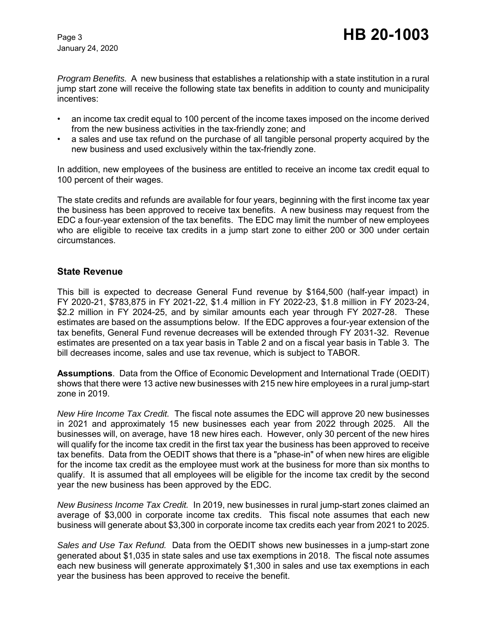*Program Benefits.* A new business that establishes a relationship with a state institution in a rural jump start zone will receive the following state tax benefits in addition to county and municipality incentives:

- an income tax credit equal to 100 percent of the income taxes imposed on the income derived from the new business activities in the tax-friendly zone; and
- a sales and use tax refund on the purchase of all tangible personal property acquired by the new business and used exclusively within the tax-friendly zone.

In addition, new employees of the business are entitled to receive an income tax credit equal to 100 percent of their wages.

The state credits and refunds are available for four years, beginning with the first income tax year the business has been approved to receive tax benefits. A new business may request from the EDC a four-year extension of the tax benefits. The EDC may limit the number of new employees who are eligible to receive tax credits in a jump start zone to either 200 or 300 under certain circumstances.

#### **State Revenue**

This bill is expected to decrease General Fund revenue by \$164,500 (half-year impact) in FY 2020-21, \$783,875 in FY 2021-22, \$1.4 million in FY 2022-23, \$1.8 million in FY 2023-24, \$2.2 million in FY 2024-25, and by similar amounts each year through FY 2027-28. These estimates are based on the assumptions below. If the EDC approves a four-year extension of the tax benefits, General Fund revenue decreases will be extended through FY 2031-32. Revenue estimates are presented on a tax year basis in Table 2 and on a fiscal year basis in Table 3. The bill decreases income, sales and use tax revenue, which is subject to TABOR.

**Assumptions**. Data from the Office of Economic Development and International Trade (OEDIT) shows that there were 13 active new businesses with 215 new hire employees in a rural jump-start zone in 2019.

*New Hire Income Tax Credit.* The fiscal note assumes the EDC will approve 20 new businesses in 2021 and approximately 15 new businesses each year from 2022 through 2025. All the businesses will, on average, have 18 new hires each. However, only 30 percent of the new hires will qualify for the income tax credit in the first tax year the business has been approved to receive tax benefits. Data from the OEDIT shows that there is a "phase-in" of when new hires are eligible for the income tax credit as the employee must work at the business for more than six months to qualify. It is assumed that all employees will be eligible for the income tax credit by the second year the new business has been approved by the EDC.

*New Business Income Tax Credit.* In 2019, new businesses in rural jump-start zones claimed an average of \$3,000 in corporate income tax credits. This fiscal note assumes that each new business will generate about \$3,300 in corporate income tax credits each year from 2021 to 2025.

*Sales and Use Tax Refund.* Data from the OEDIT shows new businesses in a jump-start zone generated about \$1,035 in state sales and use tax exemptions in 2018. The fiscal note assumes each new business will generate approximately \$1,300 in sales and use tax exemptions in each year the business has been approved to receive the benefit.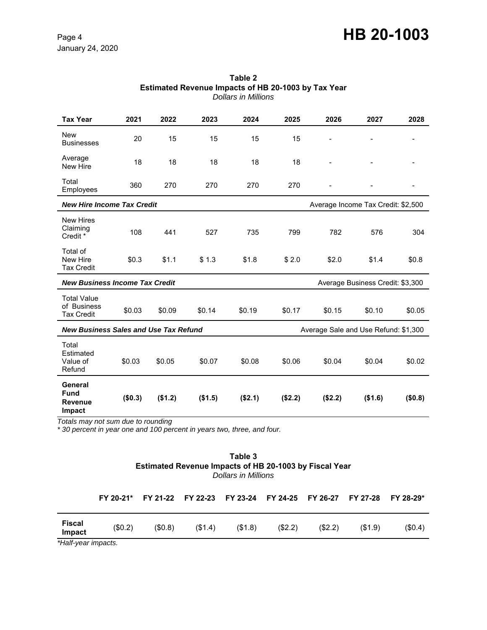## Page 4 **HB 20-1003**

January 24, 2020

| <b>Tax Year</b>                                                                      | 2021    | 2022    | 2023    | 2024    | 2025    | 2026                               | 2027    | 2028                     |
|--------------------------------------------------------------------------------------|---------|---------|---------|---------|---------|------------------------------------|---------|--------------------------|
| <b>New</b><br><b>Businesses</b>                                                      | 20      | 15      | 15      | 15      | 15      |                                    |         |                          |
| Average<br>New Hire                                                                  | 18      | 18      | 18      | 18      | 18      |                                    |         |                          |
| Total<br>Employees                                                                   | 360     | 270     | 270     | 270     | 270     |                                    |         | $\overline{\phantom{a}}$ |
| <b>New Hire Income Tax Credit</b>                                                    |         |         |         |         |         | Average Income Tax Credit: \$2,500 |         |                          |
| <b>New Hires</b><br>Claiming<br>Credit *                                             | 108     | 441     | 527     | 735     | 799     | 782                                | 576     | 304                      |
| Total of<br>New Hire<br><b>Tax Credit</b>                                            | \$0.3   | \$1.1   | \$1.3   | \$1.8   | \$2.0   | \$2.0                              | \$1.4   | \$0.8                    |
| <b>New Business Income Tax Credit</b><br>Average Business Credit: \$3,300            |         |         |         |         |         |                                    |         |                          |
| <b>Total Value</b><br>of Business<br><b>Tax Credit</b>                               | \$0.03  | \$0.09  | \$0.14  | \$0.19  | \$0.17  | \$0.15                             | \$0.10  | \$0.05                   |
| <b>New Business Sales and Use Tax Refund</b><br>Average Sale and Use Refund: \$1,300 |         |         |         |         |         |                                    |         |                          |
| Total<br>Estimated<br>Value of<br>Refund                                             | \$0.03  | \$0.05  | \$0.07  | \$0.08  | \$0.06  | \$0.04                             | \$0.04  | \$0.02                   |
| General<br><b>Fund</b><br><b>Revenue</b><br>Impact                                   | (\$0.3) | (\$1.2) | (\$1.5) | (\$2.1) | (\$2.2) | (\$2.2)                            | (\$1.6) | (\$0.8)                  |

#### **Table 2 Estimated Revenue Impacts of HB 20-1003 by Tax Year** *Dollars in Millions*

*Totals may not sum due to rounding* 

*\* 30 percent in year one and 100 percent in years two, three, and four.*

| Table 3                                                       |
|---------------------------------------------------------------|
| <b>Estimated Revenue Impacts of HB 20-1003 by Fiscal Year</b> |
| Dollars in Millions                                           |

| <b>Fiscal</b><br>(\$0.2)<br>(\$0.8)<br>(S1.8)<br>(\$2.2)<br>(\$1.4)<br>(S2.2)<br>(S1.9) |        |  |  |  | FY 20-21* FY 21-22 FY 22-23 FY 23-24 FY 24-25 FY 26-27 FY 27-28 FY 28-29* |        |
|-----------------------------------------------------------------------------------------|--------|--|--|--|---------------------------------------------------------------------------|--------|
|                                                                                         | Impact |  |  |  |                                                                           | (S0.4) |

*\*Half-year impacts.*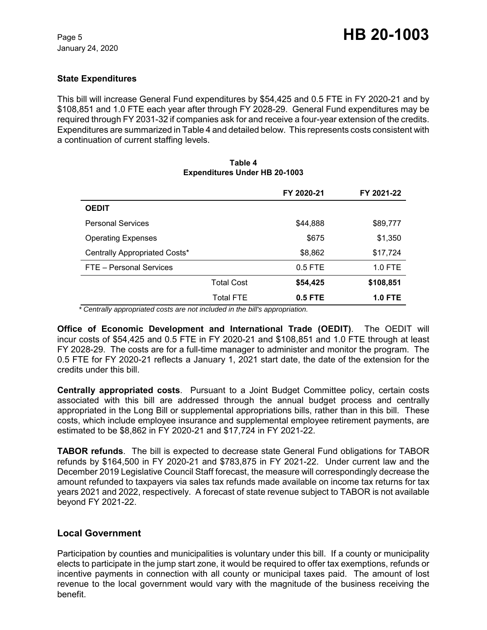#### **State Expenditures**

This bill will increase General Fund expenditures by \$54,425 and 0.5 FTE in FY 2020-21 and by \$108,851 and 1.0 FTE each year after through FY 2028-29. General Fund expenditures may be required through FY 2031-32 if companies ask for and receive a four-year extension of the credits. Expenditures are summarized in Table 4 and detailed below.This represents costs consistent with a continuation of current staffing levels.

**Table 4**

### **Expenditures Under HB 20-1003 FY 2020-21 FY 2021-22 OEDIT** Personal Services **by Sanction Contract Services** \$89,777 Operating Expenses  $$675$   $$1,350$ Centrally Appropriated Costs\*  $$8,862$  \$17,724 FTE – Personal Services and the service of the 1.0 FTE and 1.0 FTE Total Cost **\$54,425 \$108,851** Total FTE **0.5 FTE 1.0 FTE**

 *\* Centrally appropriated costs are not included in the bill's appropriation.*

**Office of Economic Development and International Trade (OEDIT)**. The OEDIT will incur costs of \$54,425 and 0.5 FTE in FY 2020-21 and \$108,851 and 1.0 FTE through at least FY 2028-29. The costs are for a full-time manager to administer and monitor the program. The 0.5 FTE for FY 2020-21 reflects a January 1, 2021 start date, the date of the extension for the credits under this bill.

**Centrally appropriated costs**. Pursuant to a Joint Budget Committee policy, certain costs associated with this bill are addressed through the annual budget process and centrally appropriated in the Long Bill or supplemental appropriations bills, rather than in this bill. These costs, which include employee insurance and supplemental employee retirement payments, are estimated to be \$8,862 in FY 2020-21 and \$17,724 in FY 2021-22.

**TABOR refunds**. The bill is expected to decrease state General Fund obligations for TABOR refunds by \$164,500 in FY 2020-21 and \$783,875 in FY 2021-22. Under current law and the December 2019 Legislative Council Staff forecast, the measure will correspondingly decrease the amount refunded to taxpayers via sales tax refunds made available on income tax returns for tax years 2021 and 2022, respectively. A forecast of state revenue subject to TABOR is not available beyond FY 2021-22.

#### **Local Government**

Participation by counties and municipalities is voluntary under this bill. If a county or municipality elects to participate in the jump start zone, it would be required to offer tax exemptions, refunds or incentive payments in connection with all county or municipal taxes paid. The amount of lost revenue to the local government would vary with the magnitude of the business receiving the benefit.